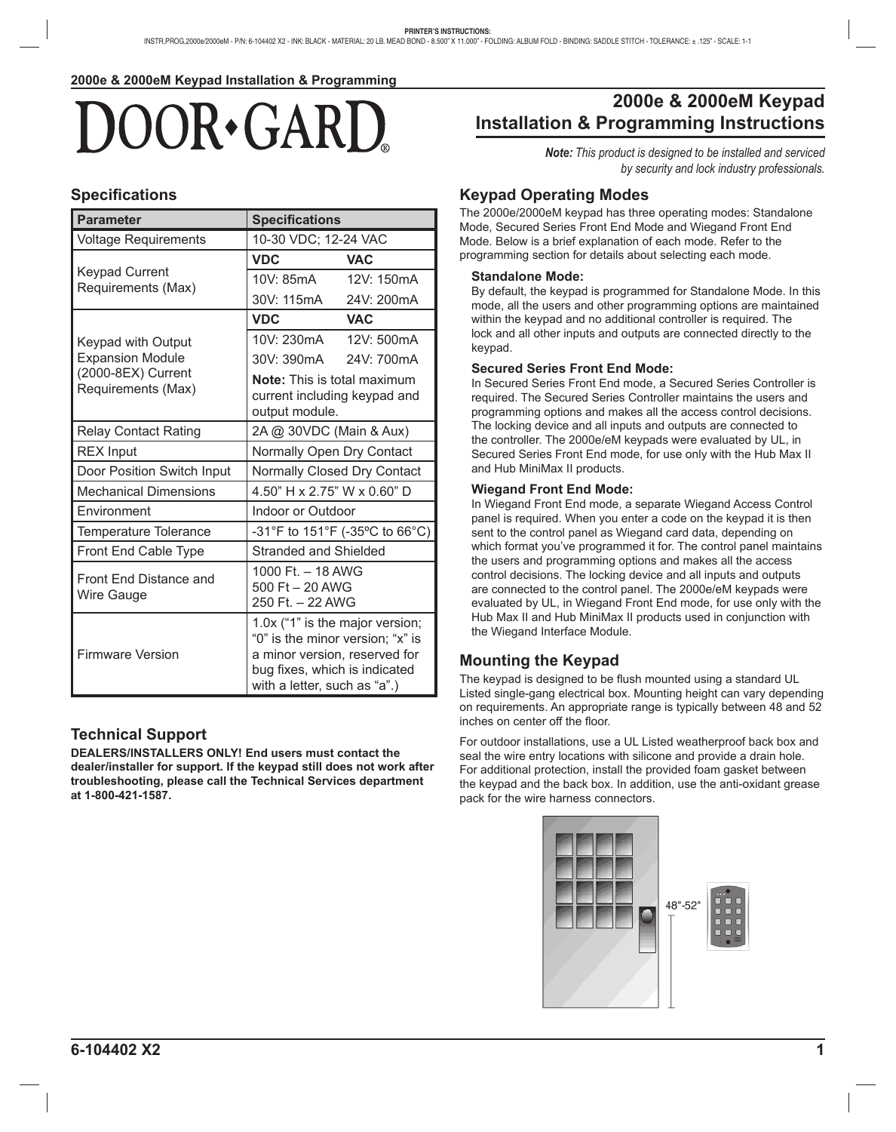# OOR GAR

## **Specifi cations**

| <b>Parameter</b>                            | <b>Specifications</b>                                                                                                                                                 |            |
|---------------------------------------------|-----------------------------------------------------------------------------------------------------------------------------------------------------------------------|------------|
| <b>Voltage Requirements</b>                 | 10-30 VDC; 12-24 VAC                                                                                                                                                  |            |
|                                             | <b>VDC</b>                                                                                                                                                            | <b>VAC</b> |
| <b>Keypad Current</b><br>Requirements (Max) | 10V: 85mA                                                                                                                                                             | 12V: 150mA |
|                                             | 30V: 115mA                                                                                                                                                            | 24V: 200mA |
|                                             | <b>VDC</b>                                                                                                                                                            | <b>VAC</b> |
| <b>Keypad with Output</b>                   | 10V: 230mA                                                                                                                                                            | 12V: 500mA |
| <b>Expansion Module</b>                     | 30V: 390mA                                                                                                                                                            | 24V: 700mA |
| (2000-8EX) Current<br>Requirements (Max)    | <b>Note:</b> This is total maximum<br>current including keypad and<br>output module.                                                                                  |            |
| <b>Relay Contact Rating</b>                 | 2A @ 30VDC (Main & Aux)                                                                                                                                               |            |
| <b>REX Input</b>                            | Normally Open Dry Contact                                                                                                                                             |            |
| Door Position Switch Input                  | Normally Closed Dry Contact                                                                                                                                           |            |
| <b>Mechanical Dimensions</b>                | 4.50" H x 2.75" W x 0.60" D                                                                                                                                           |            |
| Environment                                 | <b>Indoor or Outdoor</b>                                                                                                                                              |            |
| <b>Temperature Tolerance</b>                | -31°F to 151°F (-35°C to 66°C)                                                                                                                                        |            |
| Front End Cable Type                        | <b>Stranded and Shielded</b>                                                                                                                                          |            |
| Front End Distance and<br>Wire Gauge        | 1000 Ft. - 18 AWG<br>500 Ft - 20 AWG<br>250 Ft. - 22 AWG                                                                                                              |            |
| <b>Firmware Version</b>                     | 1.0x ("1" is the major version;<br>"0" is the minor version; "x" is<br>a minor version, reserved for<br>bug fixes, which is indicated<br>with a letter, such as "a".) |            |

# **Technical Support**

**DEALERS/INSTALLERS ONLY! End users must contact the dealer/installer for support. If the keypad still does not work after troubleshooting, please call the Technical Services department at 1-800-421-1587.**

# **2000e & 2000eM Keypad Installation & Programming Instructions**

*Note: This product is designed to be installed and serviced by security and lock industry professionals.*

## **Keypad Operating Modes**

The 2000e/2000eM keypad has three operating modes: Standalone Mode, Secured Series Front End Mode and Wiegand Front End Mode. Below is a brief explanation of each mode. Refer to the programming section for details about selecting each mode.

#### **Standalone Mode:**

By default, the keypad is programmed for Standalone Mode. In this mode, all the users and other programming options are maintained within the keypad and no additional controller is required. The lock and all other inputs and outputs are connected directly to the keypad.

#### **Secured Series Front End Mode:**

In Secured Series Front End mode, a Secured Series Controller is required. The Secured Series Controller maintains the users and programming options and makes all the access control decisions. The locking device and all inputs and outputs are connected to the controller. The 2000e/eM keypads were evaluated by UL, in Secured Series Front End mode, for use only with the Hub Max II and Hub MiniMax II products.

#### **Wiegand Front End Mode:**

In Wiegand Front End mode, a separate Wiegand Access Control panel is required. When you enter a code on the keypad it is then sent to the control panel as Wiegand card data, depending on which format you've programmed it for. The control panel maintains the users and programming options and makes all the access control decisions. The locking device and all inputs and outputs are connected to the control panel. The 2000e/eM keypads were evaluated by UL, in Wiegand Front End mode, for use only with the Hub Max II and Hub MiniMax II products used in conjunction with the Wiegand Interface Module.

# **Mounting the Keypad**

The keypad is designed to be flush mounted using a standard UL Listed single-gang electrical box. Mounting height can vary depending on requirements. An appropriate range is typically between 48 and 52 inches on center off the floor.

For outdoor installations, use a UL Listed weatherproof back box and seal the wire entry locations with silicone and provide a drain hole. For additional protection, install the provided foam gasket between the keypad and the back box. In addition, use the anti-oxidant grease pack for the wire harness connectors.

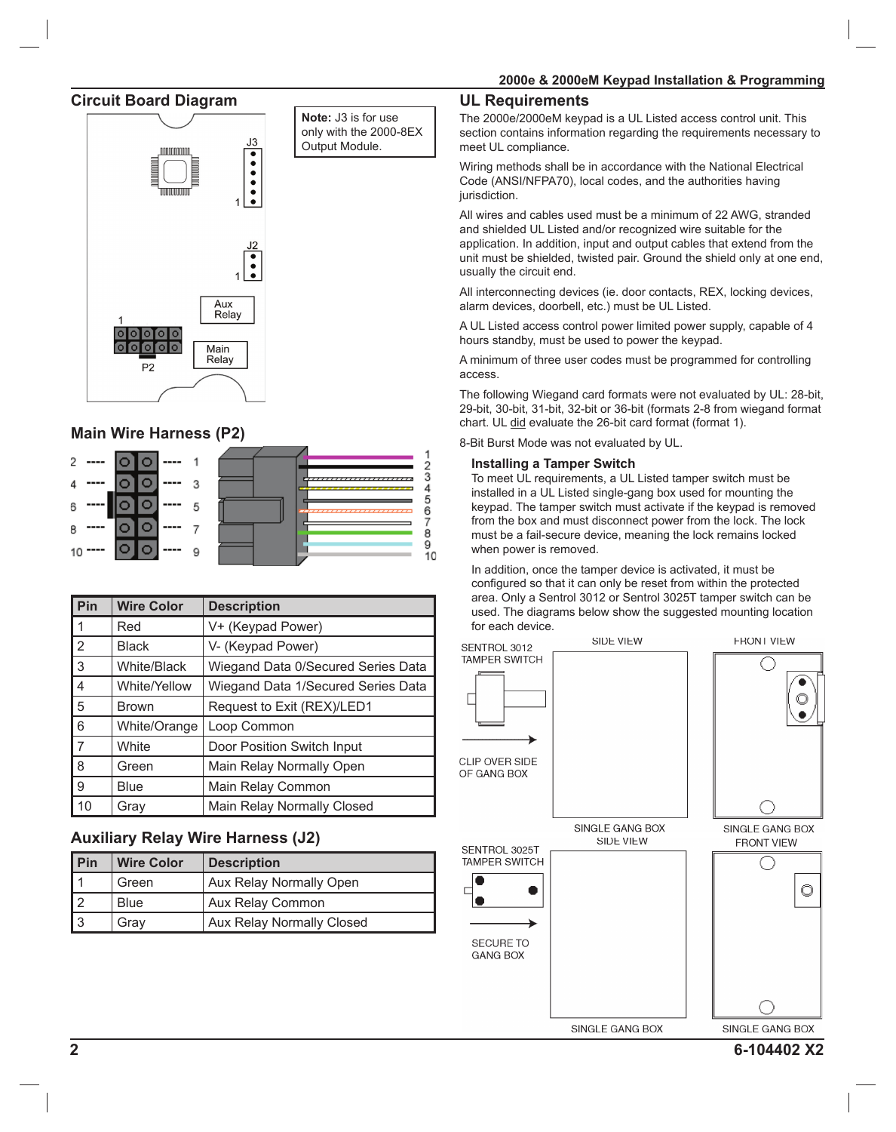#### **Circuit Board Diagram**



# **Main Wire Harness (P2)**



| Pin                                                                      | <b>Wire Color</b> | <b>Description</b>                 |
|--------------------------------------------------------------------------|-------------------|------------------------------------|
| ▌1                                                                       | Red               | V+ (Keypad Power)                  |
| $\overline{2}$                                                           | <b>Black</b>      | V- (Keypad Power)                  |
| $\sqrt{3}$                                                               | White/Black       | Wiegand Data 0/Secured Series Data |
| $\overline{4}$                                                           | White/Yellow      | Wiegand Data 1/Secured Series Data |
| $\begin{array}{ c c }\n\hline\n5 \\ \hline\n6 \\ \hline\n7\n\end{array}$ | <b>Brown</b>      | Request to Exit (REX)/LED1         |
|                                                                          | White/Orange      | Loop Common                        |
|                                                                          | White             | Door Position Switch Input         |
| 8                                                                        | Green             | Main Relay Normally Open           |
| <u>[a</u>                                                                | Blue              | Main Relay Common                  |
| $\vert$ 10                                                               | Grav              | Main Relay Normally Closed         |

# **Auxiliary Relay Wire Harness (J2)**

| l Pin | <b>Wire Color</b> | <b>Description</b>               |
|-------|-------------------|----------------------------------|
|       | Green             | <b>Aux Relay Normally Open</b>   |
|       | <b>Blue</b>       | Aux Relay Common                 |
| 13    | Grav              | <b>Aux Relay Normally Closed</b> |

#### **UL Requirements**

The 2000e/2000eM keypad is a UL Listed access control unit. This section contains information regarding the requirements necessary to meet UL compliance.

Wiring methods shall be in accordance with the National Electrical Code (ANSI/NFPA70), local codes, and the authorities having jurisdiction.

All wires and cables used must be a minimum of 22 AWG, stranded and shielded UL Listed and/or recognized wire suitable for the application. In addition, input and output cables that extend from the unit must be shielded, twisted pair. Ground the shield only at one end, usually the circuit end.

All interconnecting devices (ie. door contacts, REX, locking devices, alarm devices, doorbell, etc.) must be UL Listed.

A UL Listed access control power limited power supply, capable of 4 hours standby, must be used to power the keypad.

A minimum of three user codes must be programmed for controlling access.

The following Wiegand card formats were not evaluated by UL: 28-bit, 29-bit, 30-bit, 31-bit, 32-bit or 36-bit (formats 2-8 from wiegand format chart. UL did evaluate the 26-bit card format (format 1).

8-Bit Burst Mode was not evaluated by UL.

#### **Installing a Tamper Switch**

To meet UL requirements, a UL Listed tamper switch must be installed in a UL Listed single-gang box used for mounting the keypad. The tamper switch must activate if the keypad is removed from the box and must disconnect power from the lock. The lock must be a fail-secure device, meaning the lock remains locked when power is removed.

In addition, once the tamper device is activated, it must be configured so that it can only be reset from within the protected area. Only a Sentrol 3012 or Sentrol 3025T tamper switch can be used. The diagrams below show the suggested mounting location for each device.

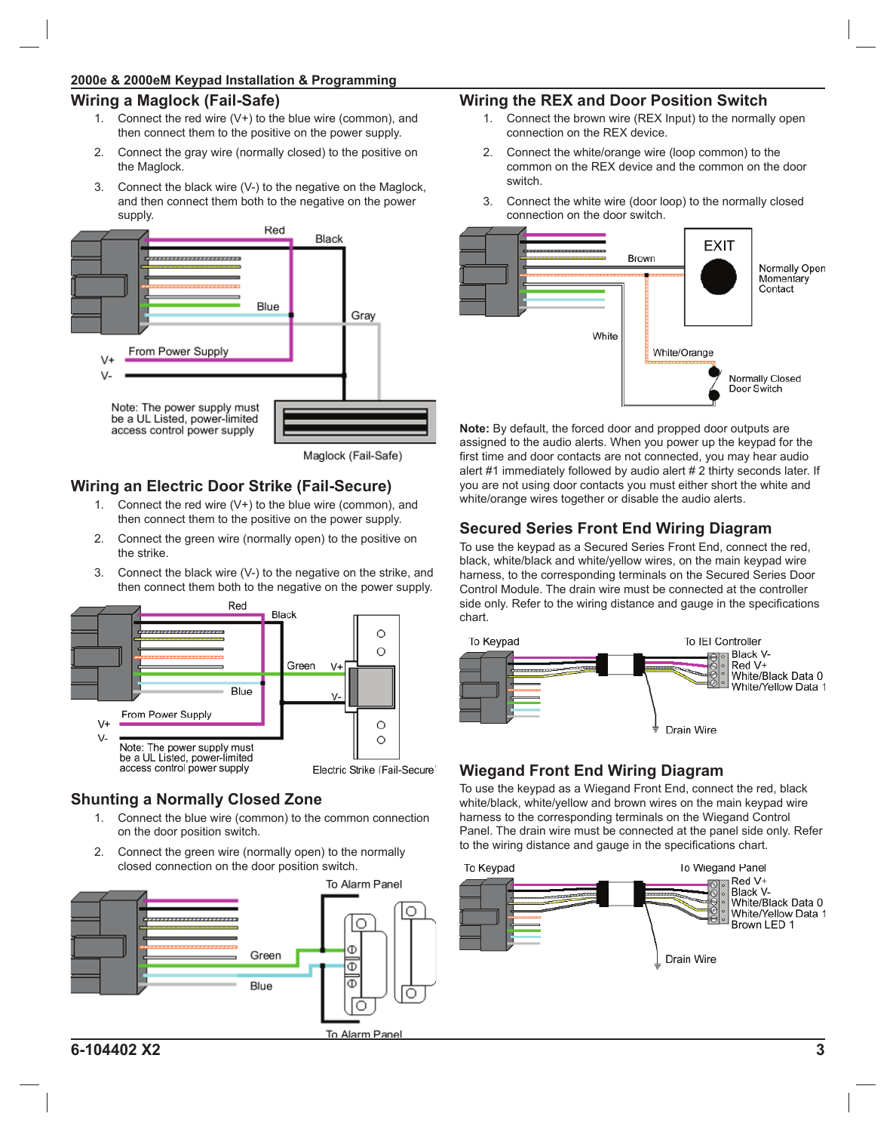# **2000e & 2000eM Keypad Installation & Programming**

# **Wiring a Maglock (Fail-Safe)**

- 1. Connect the red wire  $(V+)$  to the blue wire (common), and then connect them to the positive on the power supply.
- 2. Connect the gray wire (normally closed) to the positive on the Maglock.
- 3. Connect the black wire (V-) to the negative on the Maglock, and then connect them both to the negative on the power supply.



Maglock (Fail-Safe)

# **Wiring an Electric Door Strike (Fail-Secure)**

- 1. Connect the red wire (V+) to the blue wire (common), and then connect them to the positive on the power supply.
- 2. Connect the green wire (normally open) to the positive on the strike.
- 3. Connect the black wire (V-) to the negative on the strike, and then connect them both to the negative on the power supply.



# **Shunting a Normally Closed Zone**

- 1. Connect the blue wire (common) to the common connection on the door position switch.
- 2. Connect the green wire (normally open) to the normally closed connection on the door position switch.



# **Wiring the REX and Door Position Switch**

- Connect the brown wire (REX Input) to the normally open connection on the REX device.
- 2. Connect the white/orange wire (loop common) to the common on the REX device and the common on the door switch.
- 3. Connect the white wire (door loop) to the normally closed connection on the door switch.



**Note:** By default, the forced door and propped door outputs are assigned to the audio alerts. When you power up the keypad for the first time and door contacts are not connected, you may hear audio alert #1 immediately followed by audio alert # 2 thirty seconds later. If you are not using door contacts you must either short the white and white/orange wires together or disable the audio alerts.

# **Secured Series Front End Wiring Diagram**

To use the keypad as a Secured Series Front End, connect the red, black, white/black and white/yellow wires, on the main keypad wire harness, to the corresponding terminals on the Secured Series Door Control Module. The drain wire must be connected at the controller side only. Refer to the wiring distance and gauge in the specifications chart.



# **Wiegand Front End Wiring Diagram**

To use the keypad as a Wiegand Front End, connect the red, black white/black, white/yellow and brown wires on the main keypad wire harness to the corresponding terminals on the Wiegand Control Panel. The drain wire must be connected at the panel side only. Refer to the wiring distance and gauge in the specifications chart.

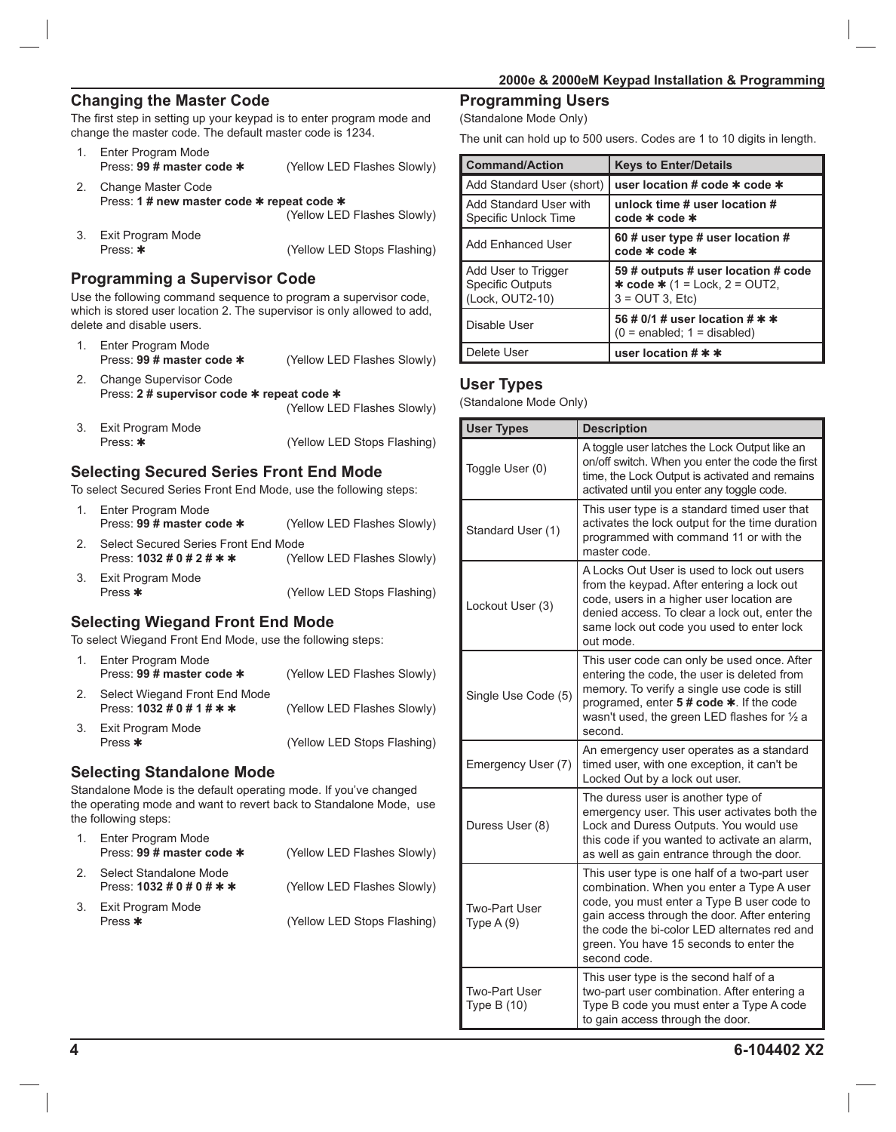## **Changing the Master Code**

The first step in setting up your keypad is to enter program mode and change the master code. The default master code is 1234.

|    | Enter Program Mode<br>Press: 99 # master code *                  | (Yellow LED Flashes Slowly) |
|----|------------------------------------------------------------------|-----------------------------|
|    | Change Master Code<br>Press: 1 # new master code * repeat code * |                             |
|    |                                                                  | (Yellow LED Flashes Slowly) |
| 3. | Exit Program Mode                                                |                             |
|    | Press: *                                                         | (Yellow LED Stops Flashing) |

#### **Programming a Supervisor Code**

Use the following command sequence to program a supervisor code, which is stored user location 2. The supervisor is only allowed to add, delete and disable users.

- 1. Enter Program Mode<br>Press: 99 # master code \* (Yellow LED Flashes Slowly) 2. Change Supervisor Code Press: **2 # supervisor code** ✱ **repeat code** ✱
- (Yellow LED Flashes Slowly) 3. Exit Program Mode Press:  $*$  (Yellow LED Stops Flashing)

#### **Selecting Secured Series Front End Mode**

To select Secured Series Front End Mode, use the following steps:

- 1. Enter Program Mode Press: **99 # master code \*** (Yellow LED Flashes Slowly)
- 2. Select Secured Series Front End Mode<br>Press: 1032 # 0 # 2 # \* \* (Yel (Yellow LED Flashes Slowly)
- 3. Exit Program Mode Press  $*$  (Yellow LED Stops Flashing)

#### **Selecting Wiegand Front End Mode**

To select Wiegand Front End Mode, use the following steps:

| 1. | Enter Program Mode<br>Press: 99 # master code *                                            | (Yellow LED Flashes Slowly) |
|----|--------------------------------------------------------------------------------------------|-----------------------------|
| 2. | Select Wiegand Front End Mode<br>Press: $1032 \text{ #} 0 \text{ #} 1 \text{ #} \text{ *}$ | (Yellow LED Flashes Slowly) |
| 3. | Exit Program Mode<br>Press $*$                                                             | (Yellow LED Stops Flashing) |

#### **Selecting Standalone Mode**

Standalone Mode is the default operating mode. If you've changed the operating mode and want to revert back to Standalone Mode, use the following steps:

| Enter Program Mode<br>Press: 99 # master code *                                     | (Yellow LED Flashes Slowly) |
|-------------------------------------------------------------------------------------|-----------------------------|
| Select Standalone Mode<br>Press: $1032 \text{ #} 0 \text{ #} 0 \text{ #} \text{ *}$ | (Yellow LED Flashes Slowly) |
| 3. Exit Program Mode<br>Press $*$                                                   | (Yellow LED Stops Flashing) |

# **Programming Users**

(Standalone Mode Only)

The unit can hold up to 500 users. Codes are 1 to 10 digits in length.

| <b>Command/Action</b>                                      | <b>Keys to Enter/Details</b>                                                                                    |
|------------------------------------------------------------|-----------------------------------------------------------------------------------------------------------------|
| Add Standard User (short)                                  | user location # code * code *                                                                                   |
| Add Standard User with<br>l Specific Unlock Time           | unlock time # user location #<br>$code * code *$                                                                |
| Add Enhanced User                                          | 60 # user type # user location #<br>$code * code *$                                                             |
| Add User to Trigger<br>Specific Outputs<br>(Lock, OUT2-10) | 59 # outputs # user location # code<br><b>* code *</b> $(1 = \text{Lock}, 2 = \text{OUT2},$<br>$3 = OUT 3, Etc$ |
| l Disable User                                             | 56 # 0/1 # user location # * *<br>$(0 = enabled; 1 = disabled)$                                                 |
| l Delete User                                              | user location $\sharp$ * *                                                                                      |

#### **User Types**

(Standalone Mode Only)

| <b>User Types</b>                   | <b>Description</b>                                                                                                                                                                                                                                                                                  |  |
|-------------------------------------|-----------------------------------------------------------------------------------------------------------------------------------------------------------------------------------------------------------------------------------------------------------------------------------------------------|--|
| Toggle User (0)                     | A toggle user latches the Lock Output like an<br>on/off switch. When you enter the code the first<br>time, the Lock Output is activated and remains<br>activated until you enter any toggle code.                                                                                                   |  |
| Standard User (1)                   | This user type is a standard timed user that<br>activates the lock output for the time duration<br>programmed with command 11 or with the<br>master code.                                                                                                                                           |  |
| Lockout User (3)                    | A Locks Out User is used to lock out users<br>from the keypad. After entering a lock out<br>code, users in a higher user location are<br>denied access. To clear a lock out, enter the<br>same lock out code you used to enter lock<br>out mode.                                                    |  |
| Single Use Code (5)                 | This user code can only be used once. After<br>entering the code, the user is deleted from<br>memory. To verify a single use code is still<br>programed, enter 5 # code *. If the code<br>wasn't used, the green LED flashes for $\frac{1}{2}$ a<br>second.                                         |  |
| Emergency User (7)                  | An emergency user operates as a standard<br>timed user, with one exception, it can't be<br>Locked Out by a lock out user.                                                                                                                                                                           |  |
| Duress User (8)                     | The duress user is another type of<br>emergency user. This user activates both the<br>Lock and Duress Outputs. You would use<br>this code if you wanted to activate an alarm,<br>as well as gain entrance through the door.                                                                         |  |
| Two-Part User<br>Type $A(9)$        | This user type is one half of a two-part user<br>combination. When you enter a Type A user<br>code, you must enter a Type B user code to<br>gain access through the door. After entering<br>the code the bi-color LED alternates red and<br>green. You have 15 seconds to enter the<br>second code. |  |
| <b>Two-Part User</b><br>Type B (10) | This user type is the second half of a<br>two-part user combination. After entering a<br>Type B code you must enter a Type A code<br>to gain access through the door.                                                                                                                               |  |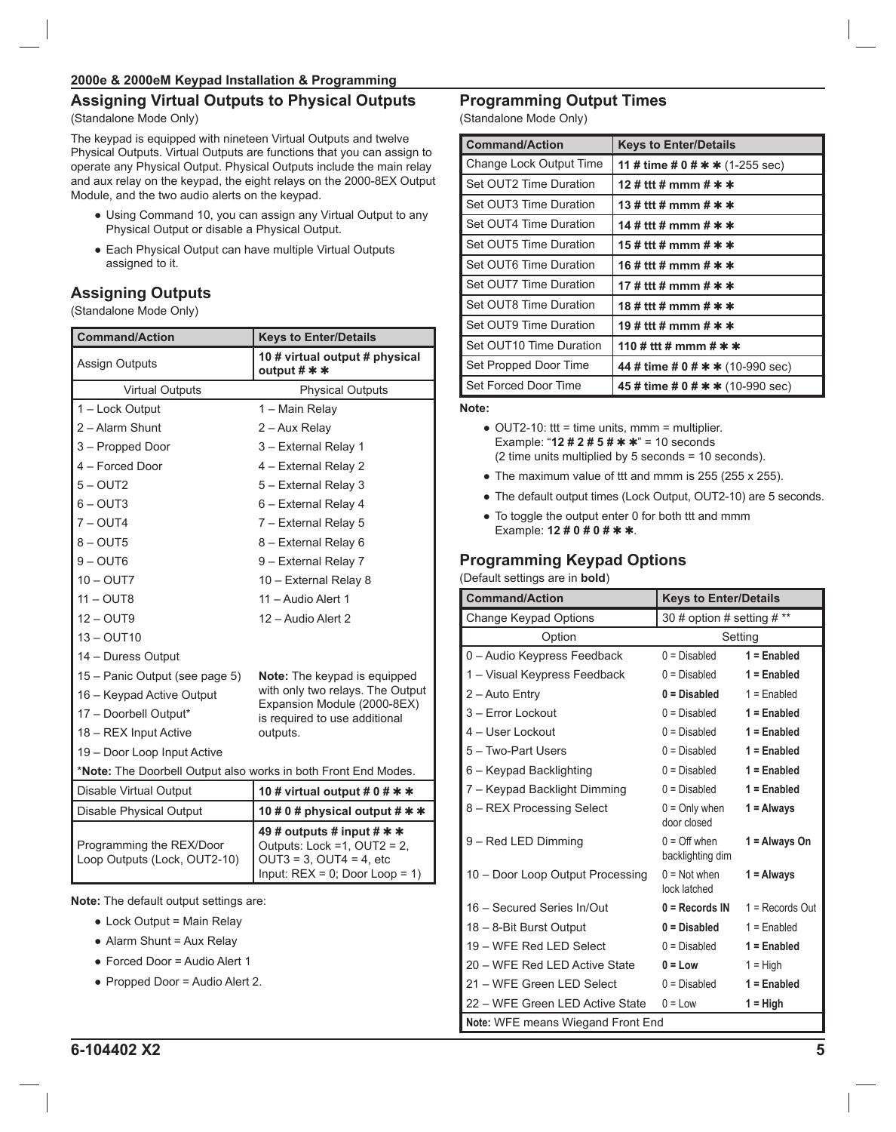# **Assigning Virtual Outputs to Physical Outputs**

(Standalone Mode Only)

The keypad is equipped with nineteen Virtual Outputs and twelve Physical Outputs. Virtual Outputs are functions that you can assign to operate any Physical Output. Physical Outputs include the main relay and aux relay on the keypad, the eight relays on the 2000-8EX Output Module, and the two audio alerts on the keypad.

- Using Command 10, you can assign any Virtual Output to any Physical Output or disable a Physical Output.
- Each Physical Output can have multiple Virtual Outputs assigned to it.

# **Assigning Outputs**

(Standalone Mode Only)

| <b>Command/Action</b>                                          | <b>Keys to Enter/Details</b>                                                                                                            |  |
|----------------------------------------------------------------|-----------------------------------------------------------------------------------------------------------------------------------------|--|
| <b>Assign Outputs</b>                                          | 10 # virtual output # physical<br>output $#$ $*$                                                                                        |  |
| <b>Virtual Outputs</b>                                         | <b>Physical Outputs</b>                                                                                                                 |  |
| 1 - Lock Output                                                | 1 - Main Relay                                                                                                                          |  |
| 2 - Alarm Shunt                                                | 2 – Aux Relay                                                                                                                           |  |
| 3 - Propped Door                                               | 3 - External Relay 1                                                                                                                    |  |
| 4 - Forced Door                                                | 4 - External Relay 2                                                                                                                    |  |
| $5 - OUT2$                                                     | 5 - External Relay 3                                                                                                                    |  |
| $6 - OUT3$                                                     | 6 - External Relay 4                                                                                                                    |  |
| $7 - OUT4$                                                     | 7 - External Relay 5                                                                                                                    |  |
| $8 - OUT5$                                                     | 8 – External Relay 6                                                                                                                    |  |
| $9 - OUT6$                                                     | 9 - External Relay 7                                                                                                                    |  |
| $10 - \text{OUT7}$                                             | 10 - External Relay 8                                                                                                                   |  |
| $11 - OUT8$                                                    | 11 - Audio Alert 1                                                                                                                      |  |
| $12 - \text{OUT}9$                                             | 12 – Audio Alert 2                                                                                                                      |  |
| $13 - $ OUT $10$                                               |                                                                                                                                         |  |
| 14 - Duress Output                                             |                                                                                                                                         |  |
| 15 - Panic Output (see page 5)                                 | Note: The keypad is equipped                                                                                                            |  |
| 16 - Keypad Active Output                                      | with only two relays. The Output<br>Expansion Module (2000-8EX)                                                                         |  |
| 17 - Doorbell Output*                                          | is required to use additional                                                                                                           |  |
| 18 – REX Input Active                                          | outputs.                                                                                                                                |  |
| 19 - Door Loop Input Active                                    |                                                                                                                                         |  |
| *Note: The Doorbell Output also works in both Front End Modes. |                                                                                                                                         |  |
| Disable Virtual Output                                         | 10 # virtual output # 0 # $*$ $*$                                                                                                       |  |
| Disable Physical Output                                        | 10 # 0 # physical output # * *                                                                                                          |  |
| Programming the REX/Door<br>Loop Outputs (Lock, OUT2-10)       | 49 # outputs # input # $\ast \ast$<br>Outputs: Lock =1, OUT2 = 2,<br>$OUT3 = 3$ , $OUT4 = 4$ , etc<br>Input: $REX = 0$ ; Door Loop = 1) |  |
| <b>Note:</b> The default output settings are:                  |                                                                                                                                         |  |
| • Lock Output = Main Relay                                     |                                                                                                                                         |  |
| • Alarm Shunt = Aux Relay                                      |                                                                                                                                         |  |

- Forced Door = Audio Alert 1
- Propped Door = Audio Alert 2.

# **Programming Output Times**

(Standalone Mode Only)

| <b>Command/Action</b>    | <b>Keys to Enter/Details</b>        |
|--------------------------|-------------------------------------|
| Change Lock Output Time  | 11 # time # 0 # $*$ $*$ (1-255 sec) |
| Set OUT2 Time Duration   | 12 # ttt # mmm # $*$ *              |
| Set OUT3 Time Duration   | 13 # ttt # mmm # $*$ *              |
| I Set OUT4 Time Duration | 14 # ttt # mmm # * *                |
| Set OUT5 Time Duration   | 15 # ttt # mmm # * *                |
| Set OUT6 Time Duration   | 16 # ttt # mmm # $*$ *              |
| Set OUT7 Time Duration   | 17 # ttt # mmm # $*$ *              |
| Set OUT8 Time Duration   | 18 # ttt # mmm # * *                |
| Set OUT9 Time Duration   | 19 # ttt # mmm # * *                |
| Set OUT10 Time Duration  | 110 # ttt # mmm # $*$ *             |
| Set Propped Door Time    | 44 # time # 0 # * * (10-990 sec)    |
| Set Forced Door Time     | 45 # time # 0 # * * (10-990 sec)    |

**Note:**

● OUT2-10: ttt = time units, mmm = multiplier. Example: "**12 # 2 # 5 #** ✱ ✱" = 10 seconds (2 time units multiplied by 5 seconds = 10 seconds).

- The maximum value of ttt and mmm is 255 (255 x 255).
- The default output times (Lock Output, OUT2-10) are 5 seconds.
- To toggle the output enter 0 for both ttt and mmm Example: **12 # 0 # 0 #** ✱ ✱.

# **Programming Keypad Options**

(Default settings are in **bold**)

| <b>Command/Action</b>             | <b>Keys to Enter/Details</b>       |                   |
|-----------------------------------|------------------------------------|-------------------|
| Change Keypad Options             | 30 # option # setting # **         |                   |
| Option                            | Setting                            |                   |
| 0 - Audio Keypress Feedback       | $0 = Disabled$                     | $1 =$ Enabled     |
| 1 - Visual Keypress Feedback      | $0 = Disabled$                     | $1 =$ Enabled     |
| $2 -$ Auto Entry                  | $0 = Disabled$                     | $1 =$ Enabled     |
| 3 - Error Lockout                 | $0 = Disabled$                     | $1 =$ Enabled     |
| 4 - User Lockout                  | $0 = Disabled$                     | $1 =$ Enabled     |
| 5 - Two-Part Users                | $0 = Disabled$                     | $1 =$ Enabled     |
| 6 - Keypad Backlighting           | $0 = Disabled$                     | $1 =$ Enabled     |
| 7 – Keypad Backlight Dimming      | $0 = Disabled$                     | $1 =$ Enabled     |
| 8 - REX Processing Select         | $0 =$ Only when<br>door closed     | $1 =$ Always      |
| 9 - Red LED Dimming               | $0 =$ Off when<br>backlighting dim | $1 =$ Always On   |
| 10 - Door Loop Output Processing  | $0 = Not when$<br>lock latched     | $1 =$ Always      |
| 16 - Secured Series In/Out        | $0 =$ Records IN                   | $1 =$ Records Out |
| 18 - 8-Bit Burst Output           | $0 = Disabled$                     | $1 =$ Enabled     |
| 19 - WFE Red LED Select           | $0 = Disabled$                     | $1 =$ Enabled     |
| 20 - WFE Red LED Active State     | $0 = Low$                          | $1 = High$        |
| 21 – WFE Green LED Select         | $0 = Disabled$                     | $1 =$ Enabled     |
| 22 - WFE Green LED Active State   | $0 = Low$                          | $1 = High$        |
| Note: WFE means Wiegand Front End |                                    |                   |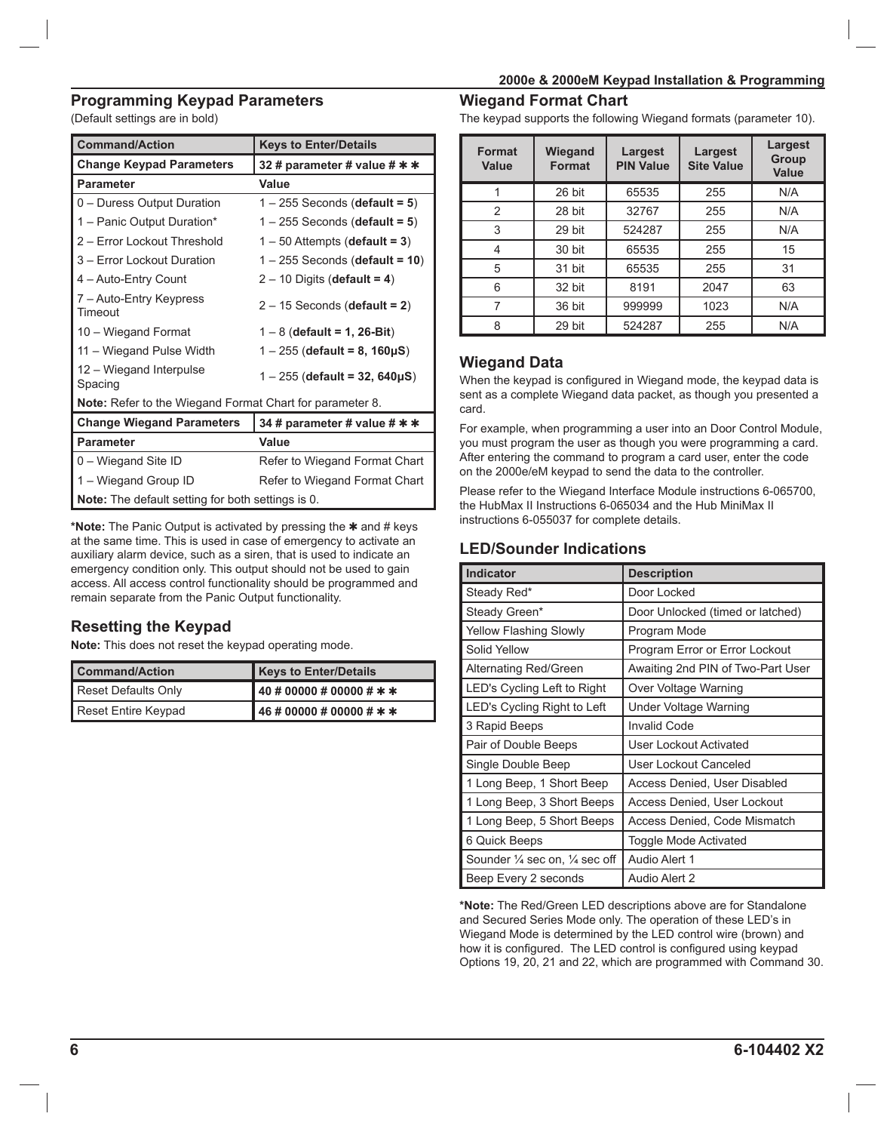#### **Programming Keypad Parameters**

(Default settings are in bold)

| <b>Command/Action</b>                                    | <b>Keys to Enter/Details</b>         |
|----------------------------------------------------------|--------------------------------------|
| <b>Change Keypad Parameters</b>                          | 32 # parameter # value # * *         |
| <b>Parameter</b>                                         | Value                                |
| 0 - Duress Output Duration                               | $1 - 255$ Seconds (default = 5)      |
| 1 - Panic Output Duration*                               | $1 - 255$ Seconds (default = 5)      |
| 2 - Error Lockout Threshold                              | $1 - 50$ Attempts (default = 3)      |
| 3 - Error Lockout Duration                               | $1 - 255$ Seconds (default = 10)     |
| 4 - Auto-Entry Count                                     | $2 - 10$ Digits (default = 4)        |
| 7 – Auto-Entry Keypress<br>Timeout                       | $2 - 15$ Seconds (default = 2)       |
| 10 - Wiegand Format                                      | $1 - 8$ (default = 1, 26-Bit)        |
| 11 - Wiegand Pulse Width                                 | $1 - 255$ (default = 8, 160 $\mu$ S) |
| 12 - Wiegand Interpulse<br>Spacing                       | $1 - 255$ (default = 32, 640µS)      |
| Note: Refer to the Wiegand Format Chart for parameter 8. |                                      |
| <b>Change Wiegand Parameters</b>                         | 34 # parameter # value # * *         |
| <b>Parameter</b>                                         | Value                                |
| 0 - Wiegand Site ID                                      | Refer to Wiegand Format Chart        |
| 1 - Wiegand Group ID                                     | Refer to Wiegand Format Chart        |
| <b>Note:</b> The default setting for both settings is 0. |                                      |

**\*Note:** The Panic Output is activated by pressing the ✱ and # keys at the same time. This is used in case of emergency to activate an auxiliary alarm device, such as a siren, that is used to indicate an emergency condition only. This output should not be used to gain access. All access control functionality should be programmed and remain separate from the Panic Output functionality.

## **Resetting the Keypad**

**Note:** This does not reset the keypad operating mode.

| <b>Command/Action</b> | <b>Keys to Enter/Details</b>  |
|-----------------------|-------------------------------|
| Reset Defaults Only   | $40 \# 00000 \# 00000 \# * *$ |
| Reset Entire Keypad   | $46 # 00000 # 00000 # * *$    |

#### **Wiegand Format Chart**

The keypad supports the following Wiegand formats (parameter 10).

| <b>Format</b><br><b>Value</b> | Wiegand<br><b>Format</b> | <b>Largest</b><br><b>PIN Value</b> | <b>Largest</b><br><b>Site Value</b> | <b>Largest</b><br><b>Group</b><br><b>Value</b> |
|-------------------------------|--------------------------|------------------------------------|-------------------------------------|------------------------------------------------|
|                               | 26 bit                   | 65535                              | 255                                 | N/A                                            |
| 2                             | 28 bit                   | 32767                              | 255                                 | N/A                                            |
| 3                             | 29 bit                   | 524287                             | 255                                 | N/A                                            |
| 4                             | 30 bit                   | 65535                              | 255                                 | 15                                             |
| 5                             | 31 bit                   | 65535                              | 255                                 | 31                                             |
| 6                             | 32 bit                   | 8191                               | 2047                                | 63                                             |
| 7                             | 36 bit                   | 999999                             | 1023                                | N/A                                            |
| 8                             | 29 bit                   | 524287                             | 255                                 | N/A                                            |

## **Wiegand Data**

When the keypad is configured in Wiegand mode, the keypad data is sent as a complete Wiegand data packet, as though you presented a card.

For example, when programming a user into an Door Control Module, you must program the user as though you were programming a card. After entering the command to program a card user, enter the code on the 2000e/eM keypad to send the data to the controller.

Please refer to the Wiegand Interface Module instructions 6-065700, the HubMax II Instructions 6-065034 and the Hub MiniMax II instructions 6-055037 for complete details.

## **LED/Sounder Indications**

| <b>Indicator</b>                                    | <b>Description</b>                |  |
|-----------------------------------------------------|-----------------------------------|--|
| Steady Red*                                         | Door Locked                       |  |
| Steady Green*                                       | Door Unlocked (timed or latched)  |  |
| <b>Yellow Flashing Slowly</b>                       | Program Mode                      |  |
| Solid Yellow                                        | Program Error or Error Lockout    |  |
| <b>Alternating Red/Green</b>                        | Awaiting 2nd PIN of Two-Part User |  |
| LED's Cycling Left to Right                         | Over Voltage Warning              |  |
| LED's Cycling Right to Left                         | Under Voltage Warning             |  |
| 3 Rapid Beeps                                       | <b>Invalid Code</b>               |  |
| Pair of Double Beeps                                | User Lockout Activated            |  |
| Single Double Beep                                  | User Lockout Canceled             |  |
| 1 Long Beep, 1 Short Beep                           | Access Denied, User Disabled      |  |
| 1 Long Beep, 3 Short Beeps                          | Access Denied, User Lockout       |  |
| 1 Long Beep, 5 Short Beeps                          | Access Denied, Code Mismatch      |  |
| 6 Quick Beeps                                       | Toggle Mode Activated             |  |
| Sounder $\frac{1}{4}$ sec on, $\frac{1}{4}$ sec off | Audio Alert 1                     |  |
| Beep Every 2 seconds                                | Audio Alert 2                     |  |

**\*Note:** The Red/Green LED descriptions above are for Standalone and Secured Series Mode only. The operation of these LED's in Wiegand Mode is determined by the LED control wire (brown) and how it is configured. The LED control is configured using keypad Options 19, 20, 21 and 22, which are programmed with Command 30.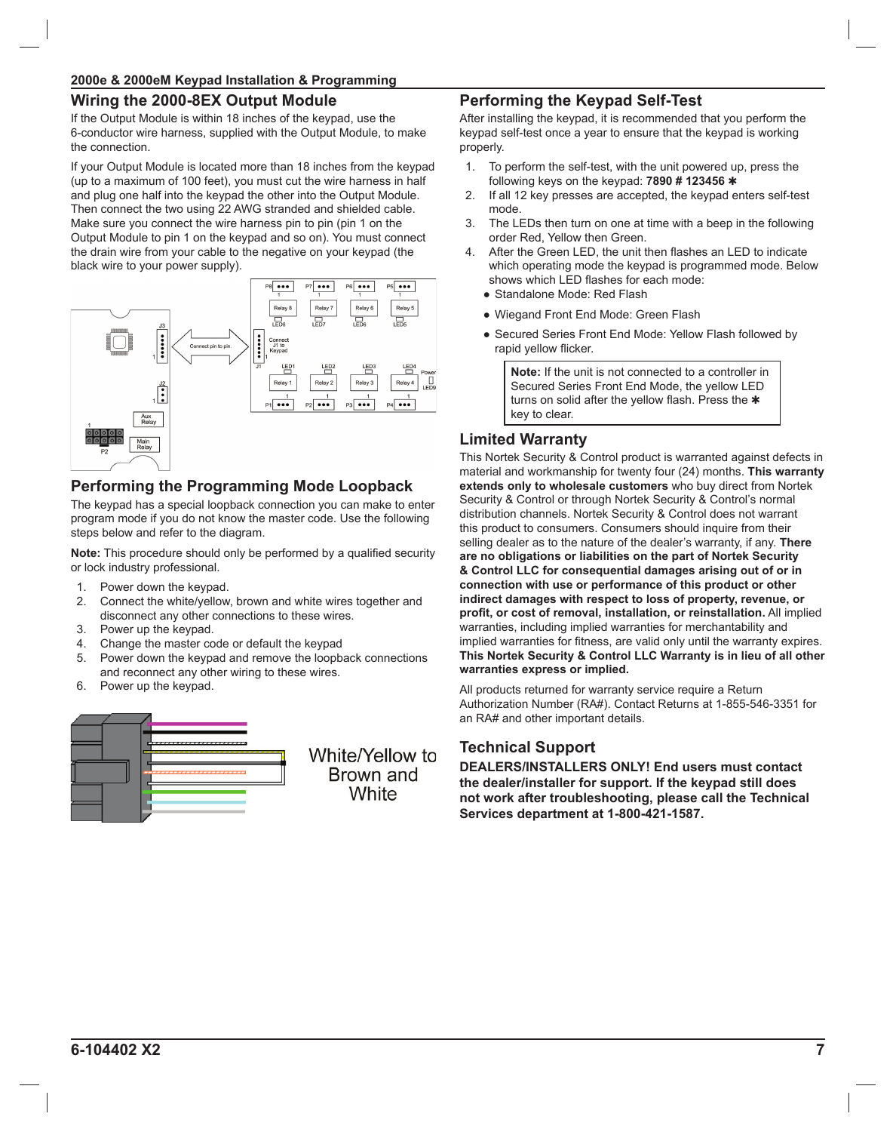## **Wiring the 2000-8EX Output Module**

If the Output Module is within 18 inches of the keypad, use the 6-conductor wire harness, supplied with the Output Module, to make the connection.

If your Output Module is located more than 18 inches from the keypad (up to a maximum of 100 feet), you must cut the wire harness in half and plug one half into the keypad the other into the Output Module. Then connect the two using 22 AWG stranded and shielded cable. Make sure you connect the wire harness pin to pin (pin 1 on the Output Module to pin 1 on the keypad and so on). You must connect the drain wire from your cable to the negative on your keypad (the black wire to your power supply).



## **Performing the Programming Mode Loopback**

The keypad has a special loopback connection you can make to enter program mode if you do not know the master code. Use the following steps below and refer to the diagram.

**Note:** This procedure should only be performed by a qualified security or lock industry professional.

- 1. Power down the keypad.
- 2. Connect the white/yellow, brown and white wires together and disconnect any other connections to these wires.
- 3. Power up the keypad.
- 4. Change the master code or default the keypad
- 5. Power down the keypad and remove the loopback connections and reconnect any other wiring to these wires.
- 6. Power up the keypad.



## **Performing the Keypad Self-Test**

After installing the keypad, it is recommended that you perform the keypad self-test once a year to ensure that the keypad is working properly.

- 1. To perform the self-test, with the unit powered up, press the following keys on the keypad: **7890 # 123456** ✱
- 2. If all 12 key presses are accepted, the keypad enters self-test mode.
- 3. The LEDs then turn on one at time with a beep in the following order Red, Yellow then Green.
- 4. After the Green LED, the unit then flashes an LED to indicate which operating mode the keypad is programmed mode. Below shows which LED flashes for each mode:
	- Standalone Mode: Red Flash
	- Wiegand Front End Mode: Green Flash
	- Secured Series Front End Mode: Yellow Flash followed by rapid yellow flicker.

**Note:** If the unit is not connected to a controller in Secured Series Front End Mode, the yellow LED turns on solid after the yellow flash. Press the  $*$ key to clear.

#### **Limited Warranty**

This Nortek Security & Control product is warranted against defects in material and workmanship for twenty four (24) months. **This warranty extends only to wholesale customers** who buy direct from Nortek Security & Control or through Nortek Security & Control's normal distribution channels. Nortek Security & Control does not warrant this product to consumers. Consumers should inquire from their selling dealer as to the nature of the dealer's warranty, if any. **There are no obligations or liabilities on the part of Nortek Security & Control LLC for consequential damages arising out of or in connection with use or performance of this product or other indirect damages with respect to loss of property, revenue, or**  profit, or cost of removal, installation, or reinstallation. All implied warranties, including implied warranties for merchantability and implied warranties for fitness, are valid only until the warranty expires. **This Nortek Security & Control LLC Warranty is in lieu of all other warranties express or implied.**

All products returned for warranty service require a Return Authorization Number (RA#). Contact Returns at 1-855-546-3351 for an RA# and other important details.

#### **Technical Support**

**DEALERS/INSTALLERS ONLY! End users must contact the dealer/installer for support. If the keypad still does not work after troubleshooting, please call the Technical Services department at 1-800-421-1587.**